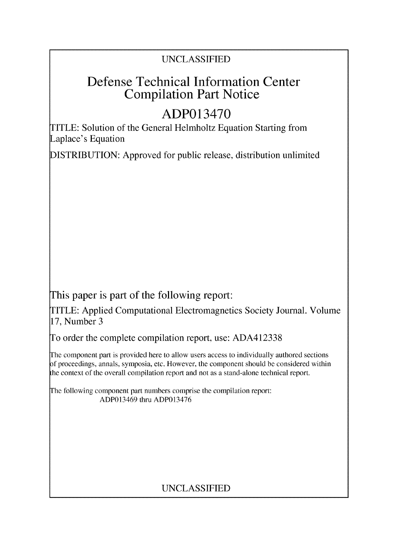## UNCLASSIFIED

# Defense Technical Information Center Compilation Part Notice

# ADP013470

TITLE: Solution of the General Helmholtz Equation Starting from Laplace's Equation

DISTRIBUTION: Approved for public release, distribution unlimited

This paper is part of the following report:

TITLE: Applied Computational Electromagnetics Society Journal. Volume 17, Number 3

To order the complete compilation report, use: ADA412338

The component part is provided here to allow users access to individually authored sections f proceedings, annals, symposia, etc. However, the component should be considered within the context of the overall compilation report and not as a stand-alone technical report.

The following component part numbers comprise the compilation report: ADP013469 thru ADP013476

## UNCLASSIFIED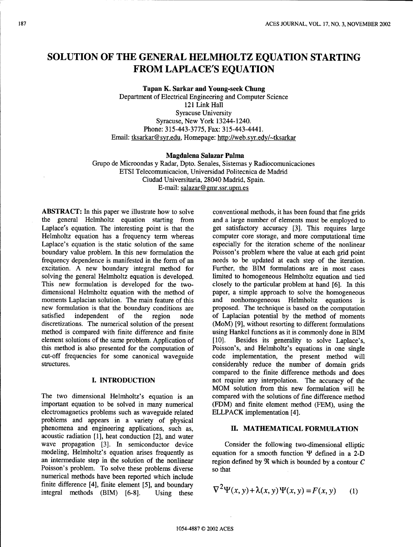### **SOLUTION** OF THE **GENERAL** HELMHOLTZ **EQUATION STARTING** FROM **LAPLACE'S EQUATION**

Tapan K. Sarkar and Young-seek Chung

Department of Electrical Engineering and Computer Science 121 Link Hall Syracuse University Syracuse, New York 13244-1240. Phone: 315-443-3775, Fax: 315-443-4441. Email: tksarkar@syr.edu, Homepage: http://web.syr.edy/~tksarkar

Magdalena Salazar Palma

Grupo de Microondas y Radar, Dpto. Senales, Sistemas y Radiocomunicaciones ETSI Telecomunicacion, Universidad Politecnica de Madrid Ciudad Universitaria, 28040 Madrid, Spain. E-mail: salazar@ gmr.ssr.upm.es

**ABSTRACT:** In this paper we illustrate how to solve conventional methods, it has been found that fine grids the general Helmholtz equation starting from and a large number of elements must be employed to Laplace's equation. The interesting point is that the get satisfactory accuracy [3]. This requires large Helmholtz equation has a frequency term whereas computer core storage, and more computational time Laplace's equation is the static solution of the same especially for the iteration scheme of the nonlinear boundary value problem. In this new formulation the Poisson's problem where the value at each grid point frequency dependence is manifested in the form of an areeds to be updated at each step of the iteration. excitation. A new boundary integral method for Further, the BIM formulations are in most cases solving the general Helmholtz equation is developed. I imited to homogeneous Helmholtz equation and tied solving the general Helmholtz equation is developed. limited to homogeneous Helmholtz equation and tied<br>This new formulation is developed for the two-<br>closely to the particular problem at hand [6]. In this dimensional Helmholtz equation with the method of paper, a simple approach to solve the homogeneous moments Laplacian solution. The main feature of this and nonhomogeneous Helmholtz equations is new formulation is that the boundary conditions are proposed. The technique is based on the computation satisfied independent of the region node of Laplacian potential by the method of moments discretizations. The numerical solution of the present (MoM) [9], without resorting to different formulations method is compared with finite difference and finite using Hankel functions as it is commonly done in BIM element solutions of the same problem. Application of [10]. Besides its generality to solve Laplace's, this method is also presented for the computation of Poisson's, and Helmholtz's equations in one single cut-off frequencies for some canonical waveguide code implementation, the present method will structures. The considerably reduce the number of domain grids

The two dimensional Helmholtz's equation is an compared with the solutions of fine difference method important equation to be solved in many numerical (FDM) and finite element method (FEM), using the electromagnetics problems such as waveguide related ELLPACK implementation [4]. problems and appears in a variety of physical phenomena and engineering applications, such as, **II. MATHEMATICAL** FORMULATION acoustic radiation [1], heat conduction [2], and water wave propagation [3]. In semiconductor device Consider the following two-dimensional elliptic modeling, Helmholtz's equation arises frequently as equation for a smooth function  $\Psi$  defined in a 2-D an intermediate step in the solution of the nonlinear region defined by  $\Re$  which is bounded by a contour C Poisson's problem. To solve these problems diverse so that numerical methods have been reported which include finite difference [4], finite element [5], and boundary 2 integral methods (BIM) [6-8]. Using these

and a large number of elements must be employed to needs to be updated at each step of the iteration. closely to the particular problem at hand [6]. In this compared to the finite difference methods and does **I. INTRODUCTION** not require any interpolation. The accuracy of the MOM solution from this new formulation will be

$$
\nabla^2 \Psi(x, y) + \lambda(x, y) \Psi(x, y) = F(x, y) \tag{1}
$$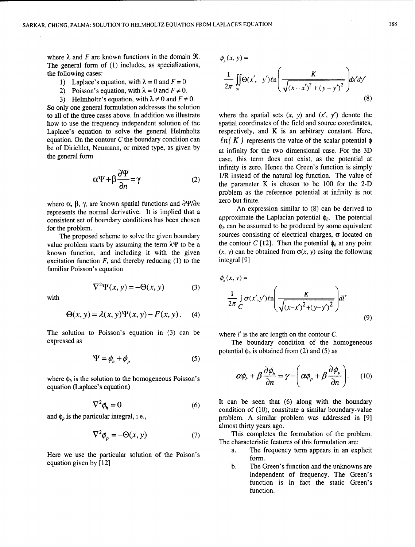where  $\lambda$  and F are known functions in the domain  $\Re$ . The general form of (1) includes, as specializations, the following cases:

- 1) Laplace's equation, with  $\lambda = 0$  and  $F = 0$
- 2) Poisson's equation, with  $\lambda = 0$  and  $F \neq 0$ .
- 3) Helmholtz's equation, with  $\lambda \neq 0$  and  $F \neq 0$ .

So only one general formulation addresses the solution to all of the three cases above. In addition we illustrate where the spatial sets  $(x, y)$  and  $(x', y')$  denote the how to use the frequency independent solution of the spatial coordinates of the field and source coordinates, how to use the frequency independent solution of the Laplace's equation to solve the general Helmholtz respectively, and K is an arbitrary constant. Here, equation. On the contour C the boundary condition can  $ln(K)$  represents the value of the scalar potential  $\phi$ be of Dirichlet, Neumann, or mixed type, as given by at infinity for the two dimensional case. For the 3D

$$
\alpha \Psi + \beta \frac{\partial \Psi}{\partial n} = \gamma \tag{2}
$$

where  $\alpha$ ,  $\beta$ ,  $\gamma$ , are known spatial functions and  $\frac{\partial \Psi}{\partial n}$  zero but finite.<br>An expression similar to (8) can be derived to concerned derived to  $\alpha$ consistent set of boundary conditions has been chosen

value problem starts by assuming the term  $\lambda \Psi$  to be a the contour *C* [12]. Then the potential  $\phi_h$  at any point known function, and including it with the given  $(x, y)$  can be obtained from  $\sigma(x, y)$  using the following known function, and including it with the given  $(x, y)$  can be excitation function *F*, and thereby reducing (1) to the integral [9] excitation function  $F$ , and thereby reducing (1) to the familiar Poisson's equation

$$
\nabla^2 \Psi(x, y) = -\Theta(x, y) \tag{3}
$$

$$
\Theta(x, y) = \lambda(x, y)\Psi(x, y) - F(x, y).
$$
 (4)

The solution to Poisson's equation in  $(3)$  can be where *l'* is the arc length on the contour *C*. expressed as The boundary condition of the homogeneous

$$
\Psi = \phi_h + \phi_p \tag{5}
$$

where  $\phi_h$  is the solution to the homogeneous Poisson's  $\alpha$ equation (Laplace's equation) *a*

$$
\nabla^2 \phi_{\scriptscriptstyle h} = 0 \tag{6}
$$

$$
\nabla^2 \phi_p = -\Theta(x, y) \tag{7}
$$

Here we use the particular solution of the Poison's form. equation given by [12] b. The Green's function and the unknowns are

$$
\phi_p(x, y) =
$$
\n
$$
\frac{1}{2\pi} \iint_{\Re} \Theta(x', y') \ell n \left( \frac{K}{\sqrt{(x - x')^2 + (y - y')^2}} \right) dx' dy'
$$
\n(8)

the general form case, this term does not exist, as the potential at infinity is zero. Hence the Green's function is simply 1/R instead of the natural log function. The value of the parameter K is chosen to be  $100$  for the  $2-D$ problem as the reference potential at infinity is not

represents the normal derivative. It is implied that a  $\frac{\text{An expression similar to (8) can be derived to}}{\text{approximate the Laplacian potential } \phi_h}$ . The potential for the problem.<br>
The proposed scheme to solve the given boundary<br>
The proposed scheme to solve the given boundary<br>
Sources consisting of electrical charges,  $\sigma$  located on The proposed scheme to solve the given boundary sources consisting of electrical charges,  $\sigma$  located on e problem starts by assuming the term  $\lambda \Psi$  to be a the contour C [12]. Then the potential  $\phi_h$  at any point

$$
\nabla^2 \Psi(x, y) = -\Theta(x, y)
$$
\nwith\n
$$
\frac{1}{2\pi} \int_C \sigma(x', y') \ln\left(\frac{K}{\sqrt{(x-x')^2 + (y-y')^2}}\right) dt'
$$
\n
$$
\Theta(x, y) = \lambda(x, y) \Psi(x, y) - F(x, y).
$$
\n(4)\n(9)

potential  $\phi_h$  is obtained from (2) and (5) as

$$
\alpha \phi_h + \beta \frac{\partial \phi_h}{\partial n} = \gamma - \left( \alpha \phi_p + \beta \frac{\partial \phi_p}{\partial n} \right).
$$
 (10)

It can be seen that  $(6)$  along with the boundary condition of (10), constitute a similar boundary-value and  $\phi_p$  is the particular integral, i.e., **problem.** A similar problem was addressed in [9] almost thirty years ago.

> This completes the formulation of the problem. The characteristic features of this formulation are:

- a. The frequency term appears in an explicit
- independent of frequency. The Green's function is in fact the static Green's function.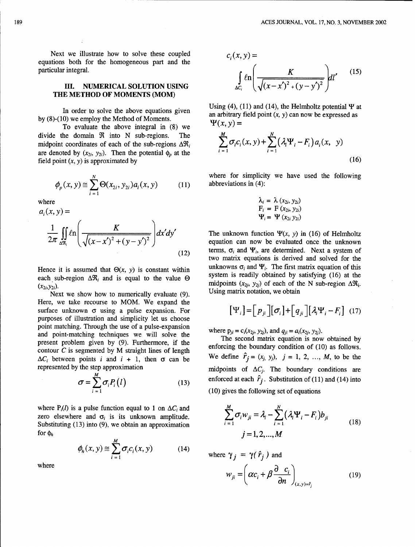Next we illustrate how to solve these coupled equations both for the homogeneous part and the

### **III. NUMERICAL SOLUTION USING** THE METHOD OF **MOMENTS** (MOM)

To evaluate the above integral in (8) we divide the domain  $\Re$  into N sub-regions. The midpoint coordinates of each of the sub-regions  $\Delta \mathfrak{R}_i$ are denoted by  $(x_{2i}, y_{2i})$ . Then the potential  $\phi_p$  at the field point  $(x, y)$  is approximated by (16)

$$
\phi_p(x, y) \cong \sum_{i=1}^N \Theta(x_{2i}, y_{2i}) a_i(x, y) \tag{11}
$$

$$
a_i(x, y) = \n\begin{cases}\nF_i = F(x_{2i}, y_{2i}) \\
\frac{1}{2\pi} \iint_{\Delta\Re_i} \ln\left(\frac{K}{\sqrt{(x - x')^2 + (y - y')^2}}\right) dx'dy' & \text{The unknown function } \Psi(x, y) \\
\text{equation can now be evaluate}\n\end{cases}
$$
\n
$$
(12) \qquad (12)
$$
\n(12)

each sub-region  $\Delta \mathfrak{R}_i$  and is equal to the value  $\Theta$ 

Next we show how to numerically evaluate  $(9)$ . Here, we take recourse to MOM. We expand the surface unknown  $\sigma$  using a pulse expansion. For purposes of illustration and simplicity let us choose point matching. Through the use of a pulse-expansion<br>and point-matching techniques we will solve the<br>meson the second matrix equation is now obtained by<br>mesont meablem given by (0). Eurthermore, if the The second matrix e present problem given by (9). Furthermore, if the enforcing the boundary condition of (10) as follows. contour C is segmented by M straight lines of length  $\Delta C_i$  between points *i* and *i* + 1, then  $\sigma$  can be We define  $\hat{r}_j = (x_j, y_j)$ ,  $j = 1, 2, ..., M$ , to be the

$$
\sigma = \sum_{i=1}^{M} \sigma_i P_i(l) \tag{13}
$$

where  $P_i(l)$  is a pulse function equal to 1 on  $\Delta C_i$  and zero elsewhere and  $\sigma_i$  is its unknown amplitude. Substituting  $(13)$  into  $(9)$ , we obtain an approximation for  $\phi_h$  $j = 1, 2, ..., M$ 

$$
\phi_h(x, y) \cong \sum_{i=1}^M \sigma_i c_i(x, y) \tag{14}
$$

particular integral. tr *K* (15) **f** *Vgn \_X) ,* ) **I'\_** 

Using (4), (11) and (14), the Helmholtz potential  $\Psi$  at In order to solve the above equations given<br>by (8)-(10) we employ the Method of Moments.<br> $\Psi(x, y) =$ 

$$
\sum_{i=1}^{M} \sigma_{i} c_{i}(x, y) + \sum_{i=1}^{N} (\lambda_{i} \Psi_{i} - F_{i}) a_{i}(x, y)
$$
\n(16)

where for simplicity we have used the following abbreviations in  $(4)$ :

where  
\n
$$
\lambda_i = \lambda (x_{2i}, y_{2i})
$$
\n
$$
F_i = F (x_{2i}, y_{2i})
$$
\n
$$
\Psi_i = \Psi (x_{2i}, y_{2i})
$$

The unknown function  $\Psi(x, y)$  in (16) of Helmholtz equation can now be evaluated once the unknown terms,  $\sigma_i$  and  $\Psi_i$ , are determined. Next a system of two matrix equations is derived and solved for the Hence it is assumed that  $\Theta(x, y)$  is constant within unknowns  $\sigma_i$  and  $\Psi_i$ . The first matrix equation of this space that  $\Theta(x, y)$  is constant within system is readily obtained by satisfying (16) at the  $(x_{2i}, y_{2i})$  of each of the N sub-region  $\Delta \Re_i$ .<br>
Next we show how to numerically evolve to  $\Re_i$ .<br>
Using matrix notation, we obtain

$$
[\Psi_i] = [p_{ji}][\sigma_i] + [q_{ji}][\lambda_i \Psi_i - F_i]
$$
 (17)

represented by the step approximation midpoints of  $\Delta C_i$ . The boundary conditions are enforced at each  $\hat{r}_i$ . Substitution of (11) and (14) into  $(10)$  gives the following set of equations

$$
\sum_{i=1}^{M} \sigma_i w_{ji} = \lambda_i - \sum_{i=1}^{N} (\lambda_i \Psi_i - F_i) b_{ji}
$$
  
  $j = 1, 2, ..., M$  (18)

$$
\phi_h(x, y) \cong \sum_{i=1}^{\infty} \sigma_i c_i(x, y) \qquad (14)
$$
\nwhere\n
$$
\gamma_j = \gamma(\hat{r}_j)
$$
 and\n
$$
w_{ji} = \left(\alpha c_i + \beta \frac{\partial}{\partial n} \right)_{(x, y) = \hat{r}_j}
$$
\n(19)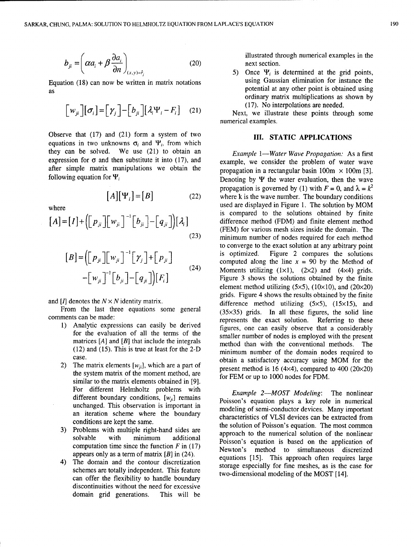$$
b_{ji} = \left(\alpha a_i + \beta \frac{\partial a_i}{\partial n}\right)_{(x,y)=\hat{r}_i}
$$
 (20) illustrate the first section.  
5) Once  $\Psi_i$  is determined at the grid points

as potential at any other point is obtained using as

$$
\begin{bmatrix} w_{ji} \end{bmatrix} [\sigma_i] = [\gamma_j] - [b_{ji}] [\lambda_i \Psi_i - F_i] \quad (21)
$$

Observe that (17) and (21) form a system of two **III. STATIC APPLICATIONS** equations in two unknowns  $\sigma_i$  and  $\Psi_i$ , from which they can be solved. We use (21) to obtain an *Example 1-Water Wave Propagation:* As a first expression for  $\sigma$  and then substitute it into (17), and example, we consider the problem of water wave after simple matrix manipulations we obtain the propagation in a rectangular basin  $100m \times 100m$  [3].

$$
[A][\Psi_i] = [B] \tag{22}
$$

$$
[A] = [I] + ([p_{ji}][w_{ji}]^{-1} [b_{ji}] - [q_{ji}]) [\lambda_i]
$$
\n(23)

$$
[B] = \left( \begin{bmatrix} p_{ji} \end{bmatrix} \begin{bmatrix} w_{ji} \end{bmatrix}^{-1} \begin{bmatrix} \gamma_{j} \end{bmatrix} + \begin{bmatrix} p_{ji} \end{bmatrix} - \begin{bmatrix} w_{ji} \end{bmatrix}^{-1} \begin{bmatrix} b_{ji} \end{bmatrix} - \begin{bmatrix} q_{ji} \end{bmatrix} \right) [F_{i}] \tag{24}
$$

- 
- the system matrix of the moment method, are for FEM or up to 1000 nodes for FDM. similar to the matrix elements obtained in [9]. For different Helmholtz problems with *Example 2-MOST Modeling*: The nonlinear
- 
- schemes are totally independent. This feature two-dimensional modeling of the MOST [14]. can offer the flexibility to handle boundary discontinuities without the need for excessive domain grid generations. This will be

illustrated through numerical examples in the

Equation (18) can now be written in matrix notations using Gaussian elimination for instance the ordinary matrix multiplications as shown by (17). No interpolations are needed.

> Next, we illustrate these points through some numerical examples.

following equation for  $\Psi_i$  Denoting by  $\Psi$  the water evaluation, then the wave propagation is governed by (1) with  $F = 0$ , and  $\lambda = k^2$ where  $k$  is the wave number. The boundary conditions where used are displayed in Figure 1. The solution by MOM is compared to the solutions obtained by finite difference method (FDM) and finite element method (FEM) for various mesh sizes inside the domain. The minimum number of nodes required for each method to converge to the exact solution at any arbitrary point is optimized. Figure 2 compares the solutions computed along the line  $x = 90$  by the Method of Moments utilizing  $(1\times1)$ ,  $(2\times2)$  and  $(4\times4)$  grids. Figure 3 shows the solutions obtained by the finite element method utilizing (5 $\times$ 5), (10 $\times$ 10), and (20 $\times$ 20) grids. Figure 4 shows the results obtained by the finite and *[I]* denotes the  $N \times N$  identity matrix. difference method utilizing (5×5), (15×15), and From the last three equations some general (35x35) grids. In all these figures, the solid line comments can be made:<br>
1) Analytic expressions can easily be derived<br>
1) Analytic expressions can easily be derived<br>  $\frac{1}{2}$  figures one can easily observe that a considerably Analytic expressions can easily be derived<br>figures, one can easily observe that a considerably<br>for the evaluation of all the terms of the smaller number of nodes is employed with the present matrices [A] and [B] that include the integrals method than with the conventional methods. The (12) and (15). This is true at least for the 2-D minimum number of the domain nodes required to case.<br>
The contract of the contract of the contract of the contract of the contract of the contract of the contract of the contract of the contract of the contract of the contract of the contract of the contract of the con 2) The matrix elements  $[w_{ji}]$ , which are a part of present method is 16  $(4\times4)$ , compared to 400  $(20\times20)$ 

different boundary conditions,  $[w_{ji}]$  remains  $\begin{array}{c} \text{Doisson's equation plays a key role in numerical} \\ \text{Doisson's equation plays a key role in numerical} \end{array}$ unchanged. This observation is important in modeling of semi-conductor devices. Many important an iteration scheme where the boundary characteristics of VLSI devices can be extracted from conditions are kept the same.<br>the solution of Poisson's equation. The most common 3) Problems with multiple right-hand sides are approach to the numerical solution of the nonlinear solvable with minimum additional Poisson's equation is based on the application of computation time since the function  $F$  in  $(17)$  Newton's method to simultaneous discretized appears only as a term of matrix [B] in (24). equations [15]. This approach often requires large 4) The domain and the contour discretization etons  $\frac{1}{2}$  is applied. This application ethnic requires large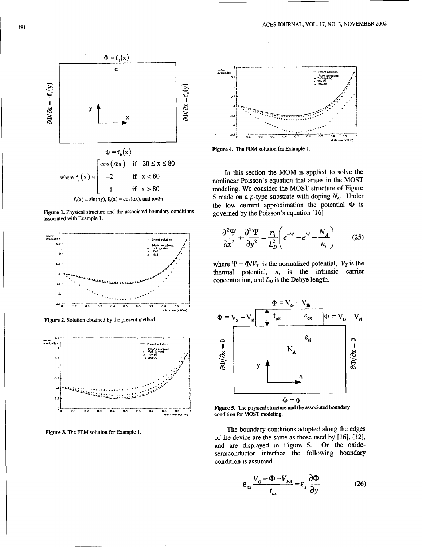

Figure 1. Physical structure and the associated boundary conditions governed by the Poisson's equation [16] associated with Example 1.







**he{** inonlinear Poisson's equation that arises in the MOST 1 if x **>** 80 modeling. We consider the MOST structure of Figure  $f_s(x) = \sin(\alpha y)$ ,  $f_b(x) = \cos(\alpha x)$ , and  $\alpha = 2\pi$  5 made on a p-type substrate with doping N<sub>A</sub>. Under the low current approximation the potential  $\Phi$  is

$$
\frac{\partial^2 \Psi}{\partial x^2} + \frac{\partial^2 \Psi}{\partial y^2} = \frac{n_i}{L_D^2} \left( e^{-\Psi} - e^{\Psi} - \frac{N_A}{n_i} \right) \tag{25}
$$

where  $\Psi = \Phi/V_T$  is the normalized potential,  $V_T$  is the thermal potential,  $n_i$  is the intrinsic carrier concentration, and  $L<sub>D</sub>$  is the Debye length.



 $\Phi = 0$ <br>**Figure 5.** The physical structure and the associated boundary <sup>0.9</sup> <sup>1</sup> **condition for MOST** modeling.

Figure 3. The FEM solution for Example 1. **The boundary conditions adopted along the edges** of the device are the same as those used by [16], [121, and are displayed in Figure 5. On the oxidesemiconductor interface the following boundary condition is assumed

$$
\varepsilon_{ox} \frac{V_G - \Phi - V_{FB}}{t_{ox}} = \varepsilon_s \frac{\partial \Phi}{\partial y}
$$
 (26)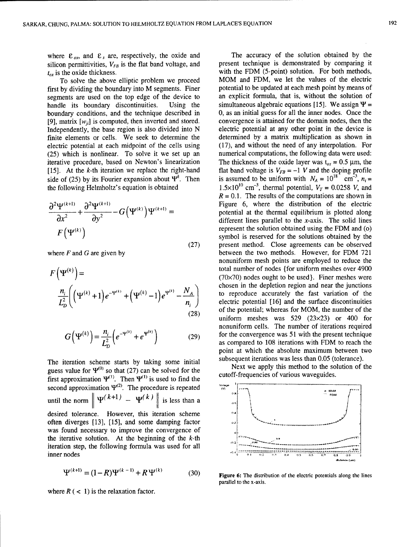silicon permittivities,  $V_{FB}$  is the flat band voltage, and

first by dividing the boundary into M segments. Finer potential to be updated at each mesh point by means of segments are used on the top edge of the device to an explicit formula, that is, without the solution of segments are used on the top edge of the device to handle its, boundary discontinuities. Using the boundary conditions, and the technique described in 0, as an initial guess for all the inner nodes. Once the <br>[9] matrix  $[w_n]$  is computed, then inverted and stored. convergence is attained for the domain nodes, then the [9], matrix  $[w_{ji}]$  is computed, then inverted and stored. convergence is attained for the domain nodes, then the Independently, the base region is also divided into N electric potential at any other point in the device is Independently, the base region is also divided into N electric potential at any other point in the device is finite elements or cells. We seek to determine the determined by a matrix multiplication as shown in finite elements or cells. We seek to determine the determined by a matrix multiplication as shown in electric potential at each midpoint of the cells using (17), and without the need of any interpolation. For electric potential at each midpoint of the cells using (17), and without the need of any interpolation. For (25) which is nonlinear. To solve it we set up an underlical computations, the following data were used:  $(25)$  which is nonlinear. To solve it we set up an iterative procedure, based on Newton's linearization The thickness of the oxide layer was  $t_{ox} = 0.5 \mu m$ , the [15]. At the *k*-th iteration we replace the right-hand flat band voltage is  $V_{FB} = -1$  V and the doping profile [15]. At the k-th iteration we replace the right-hand flat band voltage is  $V_{FB} = -1$  V and the doping profile side of (25) by its Fourier expansion about  $\Psi^k$ . Then is assumed to be uniform with  $N_A = 10^{18}$  cm<sup>-3</sup>,  $n_i =$ the following Helmholtz's equation is obtained  $1.5\times10^{10}$  cm<sup>-3</sup>, thermal potential,  $V_T = 0.0258$  V, and

$$
\frac{\partial^2 \Psi^{(k+1)}}{\partial x^2} + \frac{\partial^2 \Psi^{(k+1)}}{\partial y^2} - G(\Psi^{(k)}) \Psi^{(k+1)} =
$$
  

$$
F(\Psi^{(k)})
$$

$$
F(\Psi^{(k)}) = \frac{n_i}{L_D^2} \left( (\Psi^{(k)} + 1) e^{-\Psi^{(k)}} + (\Psi^{(k)} - 1) e^{\Psi^{(k)}} - \frac{N_A}{n_i} \right)
$$
(28)

$$
G(\Psi^{(k)}) = \frac{n_i}{L_D^2} \left( e^{-\Psi^{(k)}} + e^{\Psi^{(k)}} \right)
$$
 (29)

The iteration scheme starts by taking some initial subsequent iterations was less than 0.05 (tolerance).<br>guess value for  $\Psi^{(0)}$  so that (27) can be solved for the set of the solution of the solution of the solution of t guess value for  $\mathbf{r}$  so that (27) can be solved for the cutoff-frequencies of various waveguides.<br>
first approximation  $\Psi^{(1)}$ . Then  $\Psi^{(1)}$  is used to find the second approximation  $\Psi^{(2)}$ . The procedure is repeated  $\left\{\n\begin{array}{ccc}\n\frac{1}{2} & \frac{1}{2} \\
\frac{1}{2} & \frac{1}{2} \\
\frac{1}{2} & \frac{1}{2}\n\end{array}\n\right\}$ until the norm  $\|\Psi^{(k+1)} - \Psi^{(k)}\|$  is less than a desired tolerance. However, this iteration scheme often diverges  $[13]$ ,  $[15]$ , and some damping factor was found necessary to improve the convergence of the iterative solution. At the beginning of the  $k$ -th iteration step, the following formula was used for all inner nodes  $\frac{1}{2}$  .  $\frac{1}{2}$  .  $\frac{1}{2}$  .  $\frac{1}{2}$  .  $\frac{1}{2}$  .  $\frac{1}{2}$  .  $\frac{1}{2}$  .  $\frac{1}{2}$  .  $\frac{1}{2}$  .  $\frac{1}{2}$  .  $\frac{1}{2}$  .  $\frac{1}{2}$  .  $\frac{1}{2}$  .  $\frac{1}{2}$  .  $\frac{1}{2}$  .  $\frac{1}{2}$  .  $\frac{1}{2}$  .  $\frac{1$ 

$$
\Psi^{(k+1)} = (1 - R)\Psi^{(k-1)} + R\Psi^{(k)} \tag{30}
$$

where  $R$  (  $\lt$  1) is the relaxation factor.

where  $\varepsilon_{ox}$ , and  $\varepsilon_{3}$ , are, respectively, the oxide and The accuracy of the solution obtained by the silicon permittivities.  $V_{FB}$  is the flat band voltage, and present technique is demonstrated by comparing it  $t_{ox}$  is the oxide thickness.<br>To solve the above elliptic problem we proceed  $t_{OM}$  and FDM, we let the values of the electric To solve the above elliptic problem we proceed MOM and FDM, we let the values of the electric<br>by dividing the boundary into M segments. Finer potential to be updated at each mesh point by means of simultaneous algebraic equations [15]. We assign  $\Psi = 0$ , as an initial guess for all the inner nodes. Once the  $R = 0.1$ . The results of the computations are shown in Figure 6, where the distribution of the electric potential at the thermal equilibrium is plotted along different lines parallel to the  $x$ -axis. The solid lines represent the solution obtained using the FDM and (o) symbol is reserved for the solutions obtained by the (27) present method. Close agreements can be observed where F and G are given by between the two methods. However, for FDM 721 nonuniform mesh points are employed to reduce the total number of nodes {for uniform meshes over 4900  $(70\times70)$  nodes ought to be used. Finer meshes were chosen in the depletion region and near the junctions to reproduce accurately the fast variation of the electric potential [16] and the surface discontinuities of the potential; whereas for MOM, the number of the uniform meshes was  $529$  (23 $\times$ 23) or 400 for nonuniform cells. The number of iterations required for the convergence was 51 with the present technique as compared to 108 iterations with FDM to reach the point at which the absolute maximum between two

Next we apply this method to the solution of the



**Figure 6:** The distribution of the electric potentials along the lines parallel to the x-axis.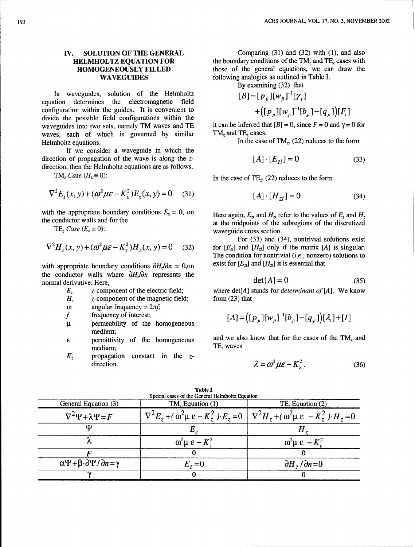In waveguides, solution of the Helmholtz **[** equation determines the electromagnetic field configuration within the guides. It is convenient to  $+([p_{ji}][w_{ji}]^{-1}[b_{ji}]-[q_{ji}])[F_i]$ divide the possible field configurations within the waveguides into two sets, namely TM waves and TE it can be inferred that  $[B] = 0$ , since  $F = 0$  and  $\gamma = 0$  for waves each of which is governed by similar TM, and TE, cases. waves, each of which is governed by similar Helmholtz equations. In the case of  $TM<sub>z</sub>$ , (22) reduces to the form

If we consider a waveguide in which the direction of propagation of the wave is along the zdirection, then the Helmholtz equations are as follows.

$$
\nabla^2 E_z(x, y) + (\omega^2 \mu \varepsilon - K_z^2) E_z(x, y) = 0 \quad (31)
$$
\n[*A*] · [*H*<sub>zi</sub>] = 0 \n(34)

with the appropriate boundary conditions  $E_z = 0$ , on Here again,  $E_{zi}$  and  $H_{zi}$  refer to the values of  $E_z$  and  $H_z$ 

$$
\nabla^2 H_z(x, y) + (\omega^2 \mu \varepsilon - K_z^2) H_z(x, y) = 0 \quad (32)
$$

the conductor walls where  $\partial H_{\nu}/\partial n$  represents the normal derivative. Here,

- 
- $H<sub>z</sub>$  **z**-component of the magnetic field; from (23) that
- $\omega$  angular frequency =  $2\pi f$ ;
- *f* frequency of interest;
- p. permeability of the homogeneous medium;
- medium;
- *K,* propagation constant in the zdirection. **2** *2 2 2 2 2 2 2 <i>2 2 2 2 <i>2 2 <i>8 2 4 36 2 4 4 <i>4 36*

**IV. SOLUTION OF THE GENERAL** Comparing (31) and (32) with (1), and also **HELMHOLTZ EQUATION FOR** the boundary conditions of the TM<sub>z</sub> and TE<sub>z</sub> cases with the boundary conditions of the  $TM_z$  and  $TE_z$  cases with **HOMOGENEOUSLY FILLED** those of the general equations, we can draw the WAVEGUIDES **the state of the general equations**, we can draw the following analogies as outlined in Table I. following analogies as outlined in Table I.

By examining (32) that

$$
B = [p_{ji}][w_{ji}]^{-1}[\gamma_j]
$$
  
+ 
$$
[p_{ji}][w_{ji}]^{-1}[b_{ji}] - [a_{ji}]
$$

$$
[A] \cdot [E_{zi}] = 0 \tag{33}
$$

 $TM_z \text{ Case } (H_z = 0):$  In the case of  $TE_z$ , (22) reduces to the form

$$
[A] \cdot [H_{zi}] = 0 \tag{34}
$$

the conductor walls and for the at the midpoints of the subregions of the discretized TE<sub>z</sub> Case ( $E_z \equiv 0$ ): waveguide cross section.

For (33) and (34), nontrivial solutions exist for  $[E_{zi}]$  and  $[H_{zi}]$  only if the matrix  $[A]$  is singular. The condition for nontrivial (i.e., nonzero) solutions to with appropriate boundary conditions  $\partial H_i/\partial n = 0$ , on exist for  $[E_{zi}]$  and  $[H_{zi}]$  it is essential that

$$
\det[A] = 0 \tag{35}
$$

 $E<sub>z</sub>$  z-component of the electric field; where det[A] stands for *determinant of* [A]. We know

$$
[A] = ([p_{ji}][w_{ji}]^{-1}[b_{ji}] - [q_{ji}]) [\lambda_i] + [I]
$$

**E E permittivity** of the homogeneous and we also know that for the cases of the  $TM_z$  and  $TE_z$  waves

$$
\lambda = \omega^2 \mu \varepsilon - K_z^2. \tag{36}
$$

| General Equation (3)                                            | $TM_z$ Equation (1)            | TE, Equation (2)                                                                                                           |  |  |  |
|-----------------------------------------------------------------|--------------------------------|----------------------------------------------------------------------------------------------------------------------------|--|--|--|
| $\nabla^2 \Psi + \lambda \Psi = F$                              |                                | $\nabla^2 E_z + (\omega^2 \mu \varepsilon - K_z^2) E_z = 0 \mid \nabla^2 H_z + (\omega^2 \mu \varepsilon - K_z^2) H_z = 0$ |  |  |  |
| w                                                               | Ľ.,                            |                                                                                                                            |  |  |  |
|                                                                 | $\omega^2\mu \epsilon - K^2$ . | $\omega^2 \mu \epsilon - K^2$                                                                                              |  |  |  |
|                                                                 |                                |                                                                                                                            |  |  |  |
| $\alpha \Psi + \beta \cdot \partial \Psi / \partial n = \gamma$ | $E_z=0$                        | $\partial H_z / \partial n = 0$                                                                                            |  |  |  |
|                                                                 |                                |                                                                                                                            |  |  |  |

Table **I** Special cases of the General Helmholtz Equation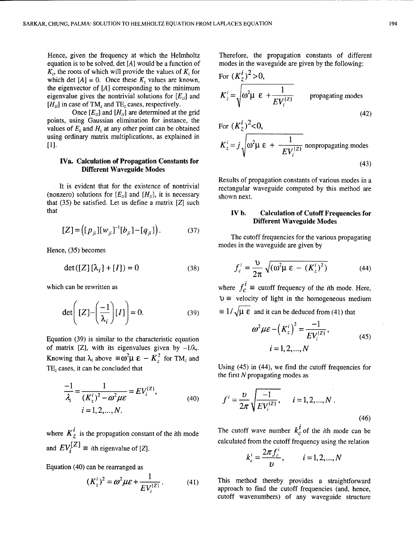Hence, given the frequency at which the Helmholtz Therefore, the propagation constants of different equation is to be solved, det  $[A]$  would be a function of modes in the waveguide are given by the following:  $K_z$ , the roots of which will provide the values of  $K_z$  for which det  $[A] = 0$ . Once these  $K_z$  values are known, the eigenvector of  $[A]$  corresponding to the minimum eigenvalue gives the nontrivial solutions for  $[E_{ri}]$  and  $[H_{zi}]$  in case of TM<sub>z</sub> and TE<sub>z</sub> cases, respectively.

Once  $[E_{zi}]$  and  $[H_{zi}]$  are determined at the grid points, using Gaussian elimination for instance, the values of  $E<sub>z</sub>$  and  $H<sub>z</sub>$  at any other point can be obtained using ordinary matrix multiplications, as explained in  $[1]$ 

### IVa. Calculation of Propagation Constants for Different Waveguide Modes

(nonzero) solutions for  $[E_{zi}]$  and  $[H_{zi}]$ , it is necessary shown next. that  $(35)$  be satisfied. Let us define a matrix  $[Z]$  such that IV **b.** Calculation of Cutoff Frequencies for

$$
[Z] = ([p_{ji}][w_{ji}]^{-1}[b_{ji}] - [q_{ji}]). \qquad (37)
$$

$$
\det([Z][\lambda_i] + [I]) = 0 \tag{38}
$$

$$
\det\left([Z] - \left(\frac{-1}{\lambda_i}\right)[I]\right) = 0. \tag{39}
$$

Equation (39) is similar to the characteristic equation of matrix [Z], with its eigenvalues given by  $-1/\lambda_i$ . Knowing that  $\lambda_i$  above  $\equiv \omega^2 \mu \epsilon - K_z^2$  for TM<sub>z</sub> and TE, cases, it can be concluded that Using (45) in (44), we find the cutoff frequencies for

$$
\frac{-1}{\lambda_i} = \frac{1}{(K_z^i)^2 - \omega^2 \mu \varepsilon} = EV_i^{(2)},
$$
  
\n $i = 1, 2, ..., N.$  (40)

and  $EV_i^{[Z]}$   $\equiv$  *i*th eigenvalue of [Z]. calculated from the cutoff frequency using the relation  $2\pi f^i$ 

Equation (40) can be rearranged as

$$
(K_z^i)^2 = \omega^2 \mu \varepsilon + \frac{1}{E V_i^{(2)}}.
$$
 (41)

For 
$$
(K_z^i)^2 > 0
$$
,  
\n $K_z^i = \sqrt{\omega^2 \mu \epsilon + \frac{1}{EV_i^{(2)}}}$  propagating modes  
\nFor  $(K_z^i)^2 < 0$ ,  
\n $K^i = i \sqrt{\omega^2 \mu \epsilon + \frac{1}{\omega^2}} \text{ nonpropagating modes}$ 

$$
K_z^i = j \sqrt{\omega^2 \mu \ \varepsilon \ +frac{1}{E V_i^{(2)}} \ \text{nonpropagating modes}}
$$
\n
$$
\tag{43}
$$

Results of propagation constants of various modes in a It is evident that for the existence of nontrivial rectangular waveguide computed by this method are

# Different Waveguide Modes

The cutoff frequencies for the various propagating modes in the waveguide are given by Hence, (35) becomes

$$
\det([Z][\lambda_i] + [I]) = 0 \qquad (38) \qquad f_c^i = \frac{\upsilon}{2\pi} \sqrt{(\omega^2 \mu \varepsilon - (K_z^i)^2)} \qquad (44)
$$

which can be rewritten as where  $f_c^i \equiv$  cutoff frequency of the *i*th mode. Here,  $v \equiv$  velocity of light in the homogeneous medium  $\equiv 1/\sqrt{\mu \epsilon}$  and it can be deduced from (41) that

$$
\omega^{2} \mu \varepsilon - (K_{z}^{i})^{2} = \frac{-1}{EV_{i}^{[Z]}},
$$
  
\n $i = 1, 2, ..., N$  (45)

the first N propagating modes as

$$
\frac{1}{\omega^2 \mu \varepsilon} = E V_i^{(2)},
$$
\n(40)\n
$$
f^i = \frac{\nu}{2\pi} \sqrt{\frac{-1}{E V_i^{(2)}},}
$$
\n
$$
i = 1, 2, ..., N.
$$
\n(46)

where  $K_z^i$  is the propagation constant of the *i*th mode The cutoff wave number  $k_c^i$  of the *i*th mode can be

$$
k_c^i = \frac{2\pi f_c^i}{v},
$$
   
  $i = 1, 2, ..., N$ 

This method thereby provides a straightforward approach to find the cutoff frequencies (and, hence, cutoff wavenumbers) of any waveguide structure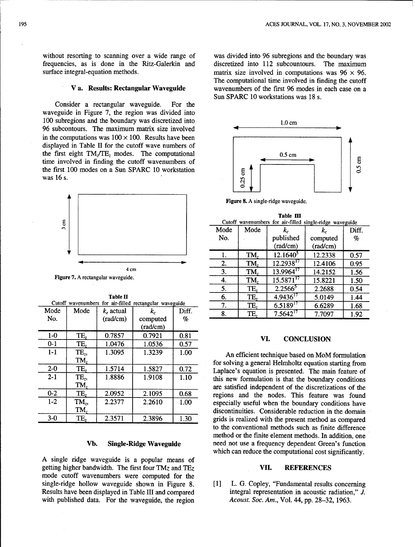without resorting to scanning over a wide range of was divided into 96 subregions and the boundary was frequencies, as is done in the Ritz-Galerkin and discretized into 112 subcountours. The maximum surface integral-equation methods.<br>matrix size involved in computations was  $96 \times 96$ .

Consider a rectangular waveguide. For the waveguide in Figure 7, the region was divided into 100 subregions and the boundary was discretized into 1.0 cm 96 subcontours. The maximum matrix size involved in the computations was  $100 \times 100$ . Results have been displayed in Table II for the cutoff wave numbers of the first eight  $TM_z/TE_z$  modes. The computational  $0.5 \text{ cm}$ time involved in finding the cutoff wavenumbers of the first 100 modes on a Sun SPARC 10 workstation was 16 s.



Figure 7. A rectangular waveguide.

|         |                   |              | Cutoff wavenumbers for air-filled rectangular waveguide |       | 7. | TE, | $6.5189^{17}$                                           | 6.6289            | 1.68 |
|---------|-------------------|--------------|---------------------------------------------------------|-------|----|-----|---------------------------------------------------------|-------------------|------|
| Mode    | Mode              | $k_a$ actual | k.                                                      | Diff. | 8. | TE, | $7.5642^{17}$                                           | 7.7097            | 1.92 |
| No.     |                   | (rad/cm)     | computed                                                | %     |    |     |                                                         |                   |      |
|         |                   |              | (rad/cm)                                                |       |    |     |                                                         |                   |      |
| $1-0$   | TE,               | 0.7857       | 0.7921                                                  | 0.81  |    | VI. |                                                         | <b>CONCLUSION</b> |      |
| $0 - 1$ | TE,               | 1.0476       | 1.0536                                                  | 0.57  |    |     |                                                         |                   |      |
| $1 - 1$ | TE <sub>z</sub> , | 1.3095       | 1.3239                                                  | 1.00  |    |     | An efficient technique based on MoM formulatic          |                   |      |
|         | TM,               |              |                                                         |       |    |     | for solving a general Helmholtz equation starting from  |                   |      |
| $2 - 0$ | TE <sub>z</sub>   | 1.5714       | 1.5827                                                  | 0.72  |    |     | Laplace's equation is presented. The main feature of    |                   |      |
| $2 - 1$ | TE <sub>7</sub>   | 1.8886       | 1.9108                                                  | 1.10  |    |     | this new formulation is that the boundary condition     |                   |      |
|         | TM,               |              |                                                         |       |    |     | are satisfied independent of the discretizations of the |                   |      |
| $0 - 2$ | TE.               | 2.0952       | 2.1095                                                  | 0.68  |    |     | regions and the nodes. This feature was four            |                   |      |
| $1-2$   | $TM_z$            | 2.2377       | 2.2610                                                  | 1.00  |    |     | especially useful when the boundary conditions hav      |                   |      |
|         | TM,               |              |                                                         |       |    |     | discontinuities. Considerable reduction in the domai    |                   |      |
| $3-0$   | TE,               | 2.3571       | 2.3896                                                  | 1.30  |    |     | grids is realized with the present method as compare    |                   |      |
|         |                   |              |                                                         |       |    |     |                                                         |                   |      |

A single ridge waveguide is a popular means of getting higher bandwidth. The first four TMz and TEz VII. **REFERENCES** mode cutoff wavenumbers were computed for the single-ridge hollow waveguide shown in Figure 8. [1] L. G. Copley, "Fundamental results concerning Results have been displayed in Table III and compared integral representation in acoustic radiation," J. with published data. For the waveguide, the region *Acoust. Soc. Am.*, Vol. 44, pp. 28-32, 1963.

matrix size involved in computations was  $96 \times 96$ . The computational time involved in finding the cutoff V a. Results: Rectangular Waveguide wavenumbers of the first 96 modes in each case on a Sun SPARC 10 workstations was 18 s.



Figure 8. A single-ridge waveguide.

| Ê                                                       |      |                 |                |          | Table III<br>Cutoff wavenumbers for air-filled single-ridge waveguide |         |                           |                   |       |  |
|---------------------------------------------------------|------|-----------------|----------------|----------|-----------------------------------------------------------------------|---------|---------------------------|-------------------|-------|--|
| $\mathbf{r}$                                            |      |                 |                |          | Mode                                                                  | Mode    |                           | $k_c$             | Diff. |  |
|                                                         |      |                 |                |          | No.                                                                   |         | published                 | computed          | $\%$  |  |
|                                                         |      |                 |                |          |                                                                       |         | (rad/cm)                  | $\text{(rad/cm)}$ |       |  |
|                                                         |      |                 |                |          | ı.                                                                    | TM,     | $12.1640^3$               | 12.2338           | 0.57  |  |
|                                                         |      |                 |                |          | 2.                                                                    | TM,     | $12.29\overline{38}^{17}$ | 12.4106           | 0.95  |  |
| 4 cm<br>Figure 7. A rectangular waveguide.              |      |                 | 3.             | TM,      | 13.9964 <sup>17</sup>                                                 | 14.2152 | 1.56                      |                   |       |  |
|                                                         |      |                 | 4.             | TM,      | $15.587$ $1^{17}$                                                     | 15.8221 | 1.50                      |                   |       |  |
|                                                         |      |                 |                |          | 5.                                                                    | TE,     | $2.2566^5$                | 2.2688            | 0.54  |  |
|                                                         |      | <b>Table II</b> |                |          | 6.                                                                    | TE,     | $4.9436^{17}$             | 5.0149            | 1.44  |  |
| Cutoff wavenumbers for air-filled rectangular waveguide |      |                 | 7.             | TE,      | $6.5189^{17}$                                                         | 6.6289  | 1.68                      |                   |       |  |
| ode                                                     | Mode | $k_e$ actual    | k <sub>c</sub> | Diff.    | 8.                                                                    | TE,     | $7.5642^{17}$             | 7.7097            | 1.92  |  |
| 'n.                                                     |      | (rad/cm)        | computed       | $\sigma$ |                                                                       |         |                           |                   |       |  |

An efficient technique based on MoM formulation for solving a general Helmholtz equation starting from Laplace's equation is presented. The main feature of this new formulation is that the boundary conditions are satisfied independent of the discretizations of the regions and the nodes. This feature was found especially useful when the boundary conditions have discontinuities. Considerable reduction in the domain grids is realized with the present method as compared to the conventional methods such as finite difference method or the finite element methods. In addition, one Vb. Single-Ridge Waveguide need not use a frequency dependent Green's function which can reduce the computational cost significantly.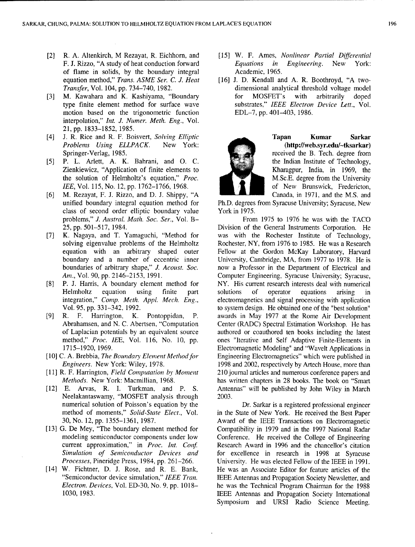- [2] R. A. Altenkirch, M Rezayat, R. Eichhorn, and [15] W. F. Ames, *Nonlinear Partial Differential* of flame in solids, by the boundary integral Academic, 1965. equation method," *Trans. ASME Ser. C. J. Heat* [16] J. D. Kendall and A. R. Boothroyd, "A two-
- motion based on the trigonometric function EDL-7, pp. 401-403, 1986. interpolation," *Int. J. Numer. Meth. Eng.,* Vol. 21, pp. 1833-1852, 1985.
- [4] J. R. Rice and R. F. Boisvert, *Solving Elliptic* Tapan Kumar Sarkar *Problems Using ELLPACK.* New York: (http://web.syr.edu/~tksarkar) Springer-Verlag, 1985. **Received the B. Tech. degree from** the Springer-Verlag, 1985.
- *[5]* P. L. Arlett, A. K. Bahrani, and **0.** C. the Indian Institute of Technology, Zienkiewicz, "Application of finite elements to Kharagpur, India, in 1969, the the solution of Helmholtz's equation," *Proc.* M.Sc.E. degree from the University *lEE*, Vol. 115, No. 12, pp. 1762–1766, 1968. **of New Brunswick**, Fredericton,
- [6] M. Rezayat, F. J. Rizzo, and D. J. Shippy, "A Canada, in 1971, and the M.S. and class of second order elliptic boundary value York in 1975. problems," *J. Austral. Math. Soc. Ser.*, Vol. B- From 1975 to 1976 he was with the TACO
- 
- 
- 
- 
- 
- Neelakantaswamy, "MOSFET analysis through 2003. numerical solution of Poisson's equation by the Dr. Sarkar is a registered professional engineer
- 
- 
- F. J. Rizzo, "A study of heat conduction forward *Equations in Engineering.* New York:
- *Transfer,* Vol. 104, pp. 734-740, 1982. dimensional analytical threshold voltage model [3] M. Kawahara and K. Kashiyama, "Boundary for MOSFET's with arbitrarily doped type finite element method for surface wave substrates," IEEE Electron Device Lett., Vol.



unified boundary integral equation method for Ph.D. degrees from Syracuse University; Syracuse, New

25, pp. 501-517, 1984. Division of the General Instruments Corporation. He [7] K. Nagaya, and T. Yamaguchi, "Method for was with the Rochester Institute of Technology, solving eigenvalue problems of the Helmholtz Rochester, NY, from 1976 to 1985. He was a Research equation with an arbitrary shaped outer Fellow at the Gordon McKay Laboratory, Harvard boundary and a number of eccentric inner University, Cambridge, MA, from 1977 to 1978. He is boundaries of arbitrary shape," *J. Acoust. Soc.* now a Professor in the Department of Electrical and *Am.*, Vol. 90, pp. 2146-2153, 1991. Computer Engineering, Syracuse University; Syracuse, [8] P. J. Harris, A boundary element method for NY. His current research interests deal with numerical Helmholtz equation using finite part solutions of operator equations arising in integration," *Comp. Meth. Appl. Mech. Eng.,* electromagnetics and signal processing with application Vol. 95, pp. 331-342, 1992. to system design. He obtained one of the "best solution" [9] R. F. Harrington, K. Pontoppidan, P. awards in May 1977 at the Rome Air Development Abrahamsen, and N. C. Abertsen, "Computation Center (RADC) Spectral Estimation Workshop. He has of Laplacian potentials by an equivalent source authored or coauthored ten books including the latest method," Proc. IEE, Vol. 116, No. 10, pp. ones "Iterative and Self Adaptive Finite-Elements in 1715-1920, 1969. Electromagnetic Modeling" and "Wavelt Applications in [10] C. A. Brebbia, *The Boundary Element Method for* **Engineering Electromagnetics**" which were published in *Engineers.* New York: Wiley, 1978. 1998 and 2002, respectively by Artech House, more than [11] R. F. Harrington, *Field Computation by Moment* 210journal articles and numerous conference papers and *Methods.* New York: Macmillian, 1968. has written chapters in 28 books. The book on "Smart" [12] E. Arvas, R. **1.** Turkman, and P. **S.** Antennas" will be published by John Wiley in March

method of moments," *Solid-State Elect.,* Vol. in the State of New York. He received the Best Paper 30, No. 12, pp. 1355-1361, 1987. Award of the IEEE Transactions on Electromagnetic [13] G. De Mey, "The boundary element method for Compatibility in 1979 and in the 1997 National Radar modeling semiconductor components under low Conference. He received the College of Engineering current approximation," in *Proc. Int. Conf.* Research Award in 1996 and the chancellor's citation *Simulation of Semiconductor Devices and* for excellence in research in 1998 at Syracuse *Processes,* Pineridge Press, 1984, pp. 261-266. University. He was elected Fellow of the IEEE in 1991. [14] W. Fichtner, D. J. Rose, and R. E. Bank, He was an Associate Editor for feature articles of the "Semiconductor device simulation," *IEEE Tran.* IEEE Antennas and Propagation Society Newsletter, and *Electron. Devices,* Vol. ED-30, No. 9, pp. 1018- he was the Technical Program Chairman for the 1988 1030, 1983. IEEE Antennas and Propagation Society International Symposium and URSI Radio Science Meeting.